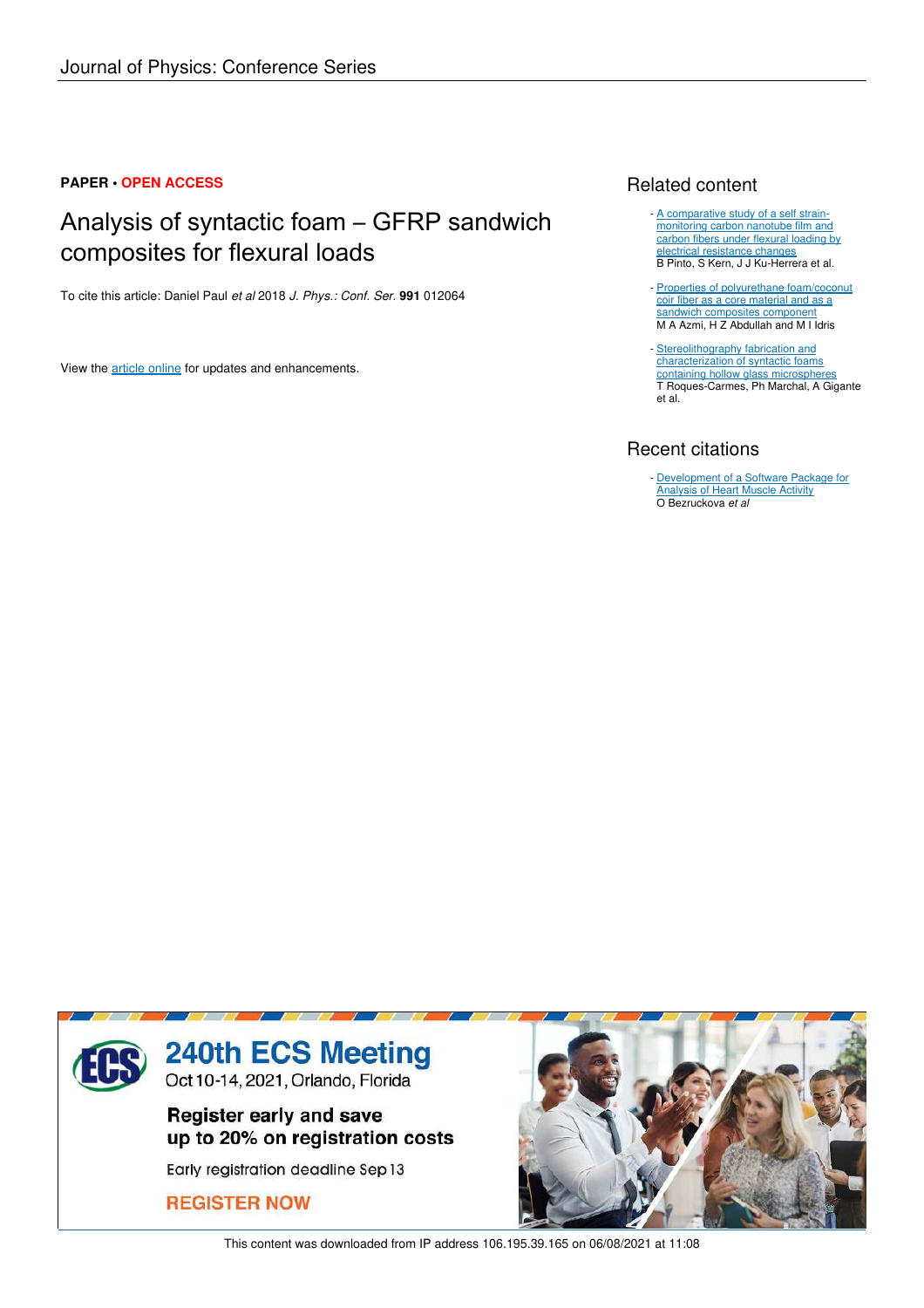## **PAPER • OPEN ACCESS**

# Analysis of syntactic foam – GFRP sandwich composites for flexural loads

To cite this article: Daniel Paul *et al* 2018 *J. Phys.: Conf. Ser.* **991** 012064

View the article online for updates and enhancements.

## Related content

- A comparative study of a self strainmonitoring carbon nanotube film and carbon fibers under flexural loading by electrical resistance changes B Pinto, S Kern, J J Ku-Herrera et al.
- Properties of polyurethane foam/coconut coir fiber as a core material and as a sandwich composites component M A Azmi, H Z Abdullah and M I Idris
- Stereolithography fabrication and characterization of syntactic foams containing hollow glass microspheres T Roques-Carmes, Ph Marchal, A Gigante et al.

## Recent citations

Development of a Software Package for Analysis of Heart Muscle Activity O Bezruckova *et al* -



This content was downloaded from IP address 106.195.39.165 on 06/08/2021 at 11:08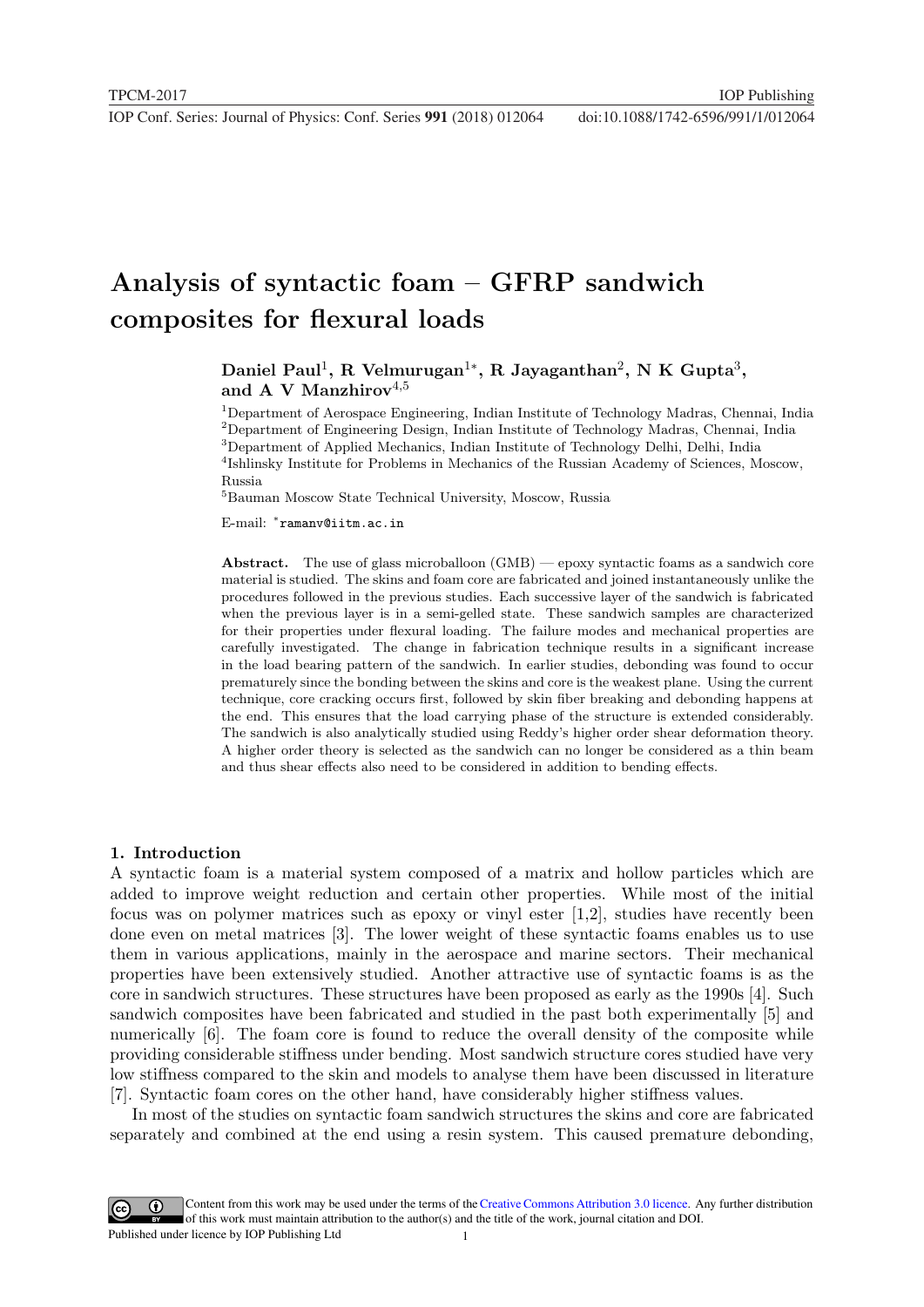# Analysis of syntactic foam – GFRP sandwich composites for flexural loads

Daniel Paul<sup>1</sup>, R Velmurugan<sup>1</sup>\*, R Jayaganthan<sup>2</sup>, N K Gupta<sup>3</sup>, and A V Manzhirov $4,5$ 

<sup>1</sup>Department of Aerospace Engineering, Indian Institute of Technology Madras, Chennai, India <sup>2</sup>Department of Engineering Design, Indian Institute of Technology Madras, Chennai, India <sup>3</sup>Department of Applied Mechanics, Indian Institute of Technology Delhi, Delhi, India 4 Ishlinsky Institute for Problems in Mechanics of the Russian Academy of Sciences, Moscow, Russia

<sup>5</sup>Bauman Moscow State Technical University, Moscow, Russia

E-mail: <sup>∗</sup> ramanv@iitm.ac.in

Abstract. The use of glass microballoon  $(GMB)$  — epoxy syntactic foams as a sandwich core material is studied. The skins and foam core are fabricated and joined instantaneously unlike the procedures followed in the previous studies. Each successive layer of the sandwich is fabricated when the previous layer is in a semi-gelled state. These sandwich samples are characterized for their properties under flexural loading. The failure modes and mechanical properties are carefully investigated. The change in fabrication technique results in a significant increase in the load bearing pattern of the sandwich. In earlier studies, debonding was found to occur prematurely since the bonding between the skins and core is the weakest plane. Using the current technique, core cracking occurs first, followed by skin fiber breaking and debonding happens at the end. This ensures that the load carrying phase of the structure is extended considerably. The sandwich is also analytically studied using Reddy's higher order shear deformation theory. A higher order theory is selected as the sandwich can no longer be considered as a thin beam and thus shear effects also need to be considered in addition to bending effects.

#### 1. Introduction

A syntactic foam is a material system composed of a matrix and hollow particles which are added to improve weight reduction and certain other properties. While most of the initial focus was on polymer matrices such as epoxy or vinyl ester [1,2], studies have recently been done even on metal matrices [3]. The lower weight of these syntactic foams enables us to use them in various applications, mainly in the aerospace and marine sectors. Their mechanical properties have been extensively studied. Another attractive use of syntactic foams is as the core in sandwich structures. These structures have been proposed as early as the 1990s [4]. Such sandwich composites have been fabricated and studied in the past both experimentally [5] and numerically [6]. The foam core is found to reduce the overall density of the composite while providing considerable stiffness under bending. Most sandwich structure cores studied have very low stiffness compared to the skin and models to analyse them have been discussed in literature [7]. Syntactic foam cores on the other hand, have considerably higher stiffness values.

In most of the studies on syntactic foam sandwich structures the skins and core are fabricated separately and combined at the end using a resin system. This caused premature debonding,

Content from this work may be used under the terms of theCreative Commons Attribution 3.0 licence. Any further distribution  $\bigcirc$ of this work must maintain attribution to the author(s) and the title of the work, journal citation and DOI. Published under licence by IOP Publishing Ltd 1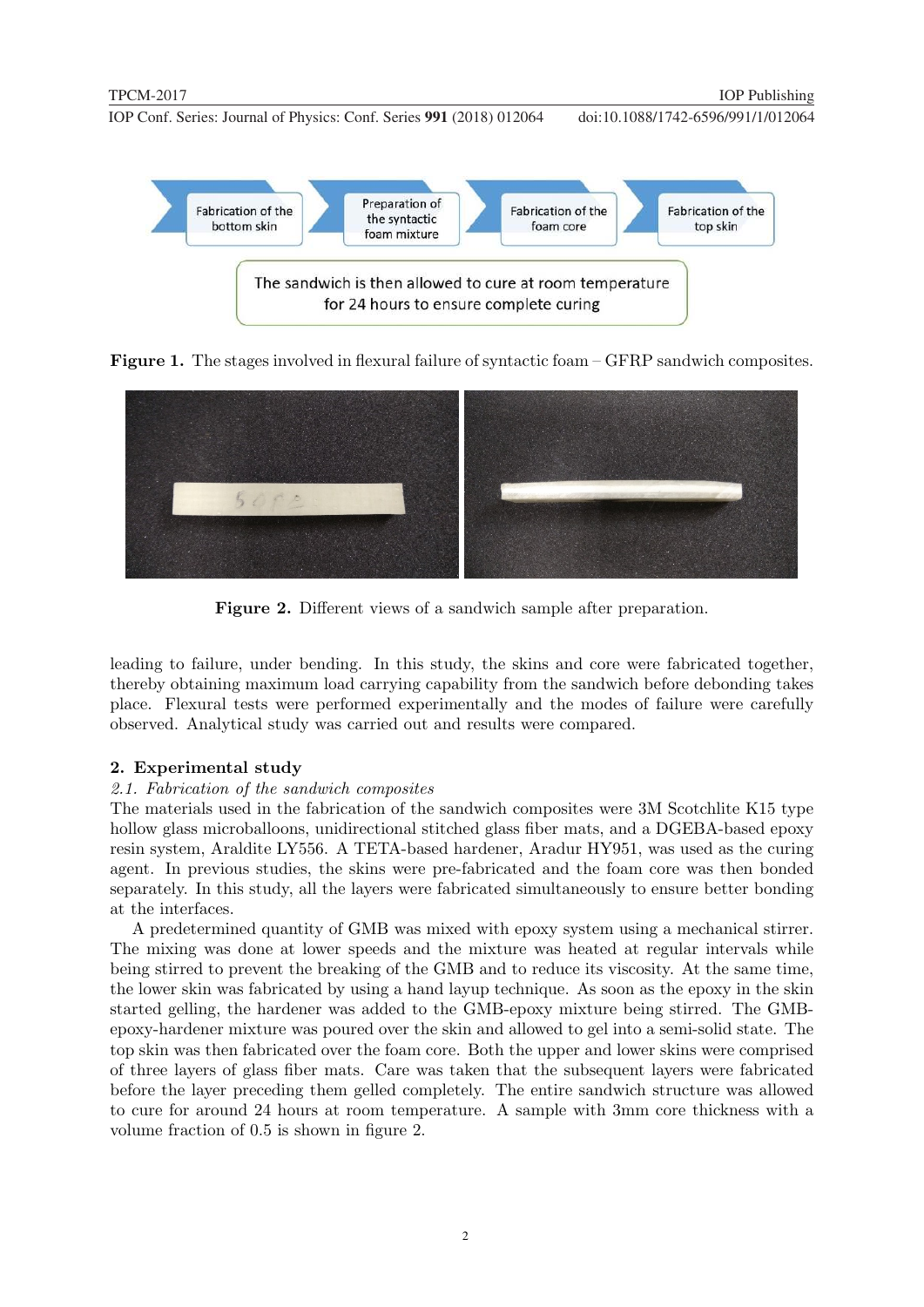

Figure 1. The stages involved in flexural failure of syntactic foam – GFRP sandwich composites.



Figure 2. Different views of a sandwich sample after preparation.

leading to failure, under bending. In this study, the skins and core were fabricated together, thereby obtaining maximum load carrying capability from the sandwich before debonding takes place. Flexural tests were performed experimentally and the modes of failure were carefully observed. Analytical study was carried out and results were compared.

## 2. Experimental study

## 2.1. Fabrication of the sandwich composites

The materials used in the fabrication of the sandwich composites were 3M Scotchlite K15 type hollow glass microballoons, unidirectional stitched glass fiber mats, and a DGEBA-based epoxy resin system, Araldite LY556. A TETA-based hardener, Aradur HY951, was used as the curing agent. In previous studies, the skins were pre-fabricated and the foam core was then bonded separately. In this study, all the layers were fabricated simultaneously to ensure better bonding at the interfaces.

A predetermined quantity of GMB was mixed with epoxy system using a mechanical stirrer. The mixing was done at lower speeds and the mixture was heated at regular intervals while being stirred to prevent the breaking of the GMB and to reduce its viscosity. At the same time, the lower skin was fabricated by using a hand layup technique. As soon as the epoxy in the skin started gelling, the hardener was added to the GMB-epoxy mixture being stirred. The GMBepoxy-hardener mixture was poured over the skin and allowed to gel into a semi-solid state. The top skin was then fabricated over the foam core. Both the upper and lower skins were comprised of three layers of glass fiber mats. Care was taken that the subsequent layers were fabricated before the layer preceding them gelled completely. The entire sandwich structure was allowed to cure for around 24 hours at room temperature. A sample with 3mm core thickness with a volume fraction of 0.5 is shown in figure 2.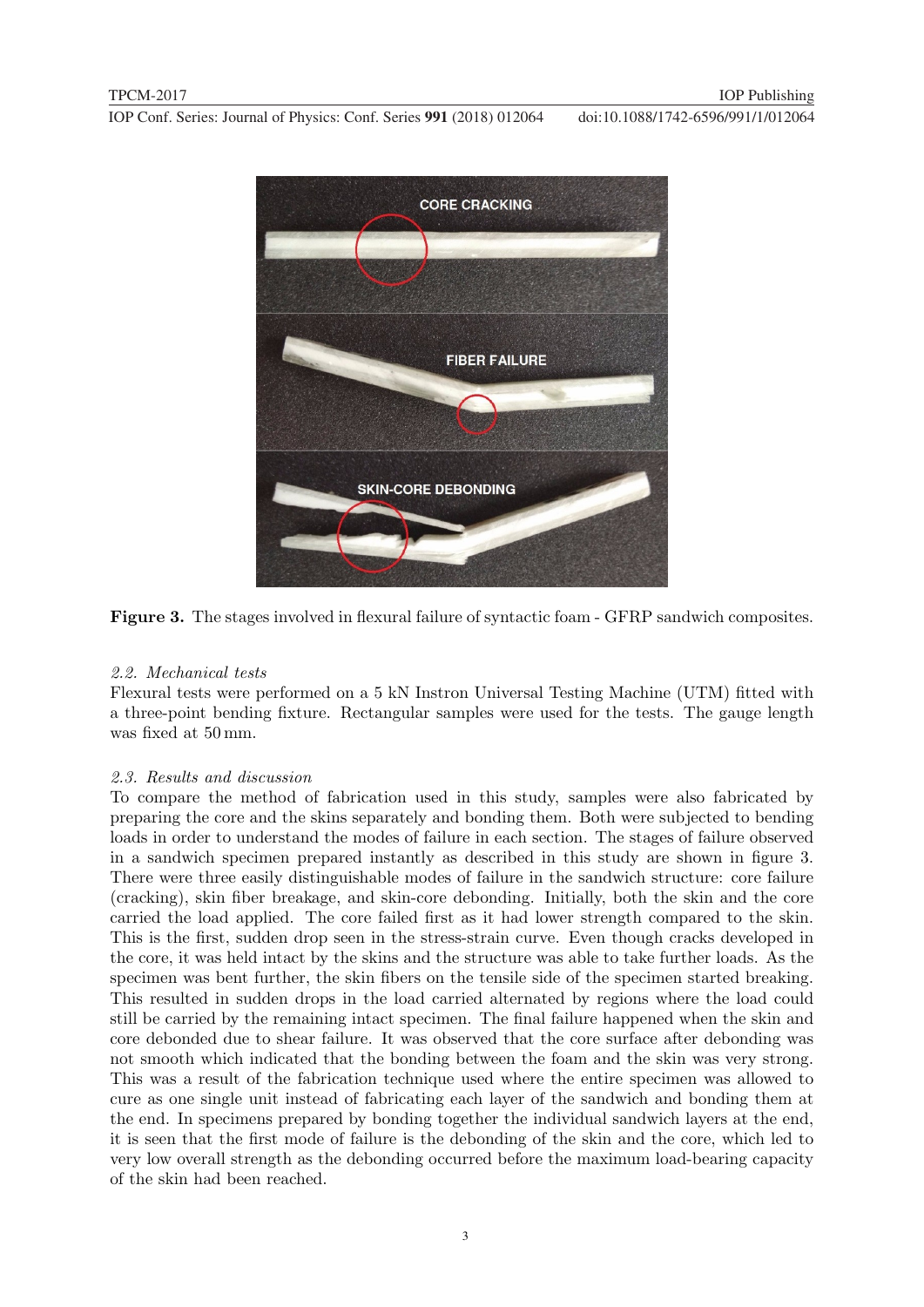

Figure 3. The stages involved in flexural failure of syntactic foam - GFRP sandwich composites.

### 2.2. Mechanical tests

Flexural tests were performed on a 5 kN Instron Universal Testing Machine (UTM) fitted with a three-point bending fixture. Rectangular samples were used for the tests. The gauge length was fixed at 50 mm.

### 2.3. Results and discussion

To compare the method of fabrication used in this study, samples were also fabricated by preparing the core and the skins separately and bonding them. Both were subjected to bending loads in order to understand the modes of failure in each section. The stages of failure observed in a sandwich specimen prepared instantly as described in this study are shown in figure 3. There were three easily distinguishable modes of failure in the sandwich structure: core failure (cracking), skin fiber breakage, and skin-core debonding. Initially, both the skin and the core carried the load applied. The core failed first as it had lower strength compared to the skin. This is the first, sudden drop seen in the stress-strain curve. Even though cracks developed in the core, it was held intact by the skins and the structure was able to take further loads. As the specimen was bent further, the skin fibers on the tensile side of the specimen started breaking. This resulted in sudden drops in the load carried alternated by regions where the load could still be carried by the remaining intact specimen. The final failure happened when the skin and core debonded due to shear failure. It was observed that the core surface after debonding was not smooth which indicated that the bonding between the foam and the skin was very strong. This was a result of the fabrication technique used where the entire specimen was allowed to cure as one single unit instead of fabricating each layer of the sandwich and bonding them at the end. In specimens prepared by bonding together the individual sandwich layers at the end, it is seen that the first mode of failure is the debonding of the skin and the core, which led to very low overall strength as the debonding occurred before the maximum load-bearing capacity of the skin had been reached.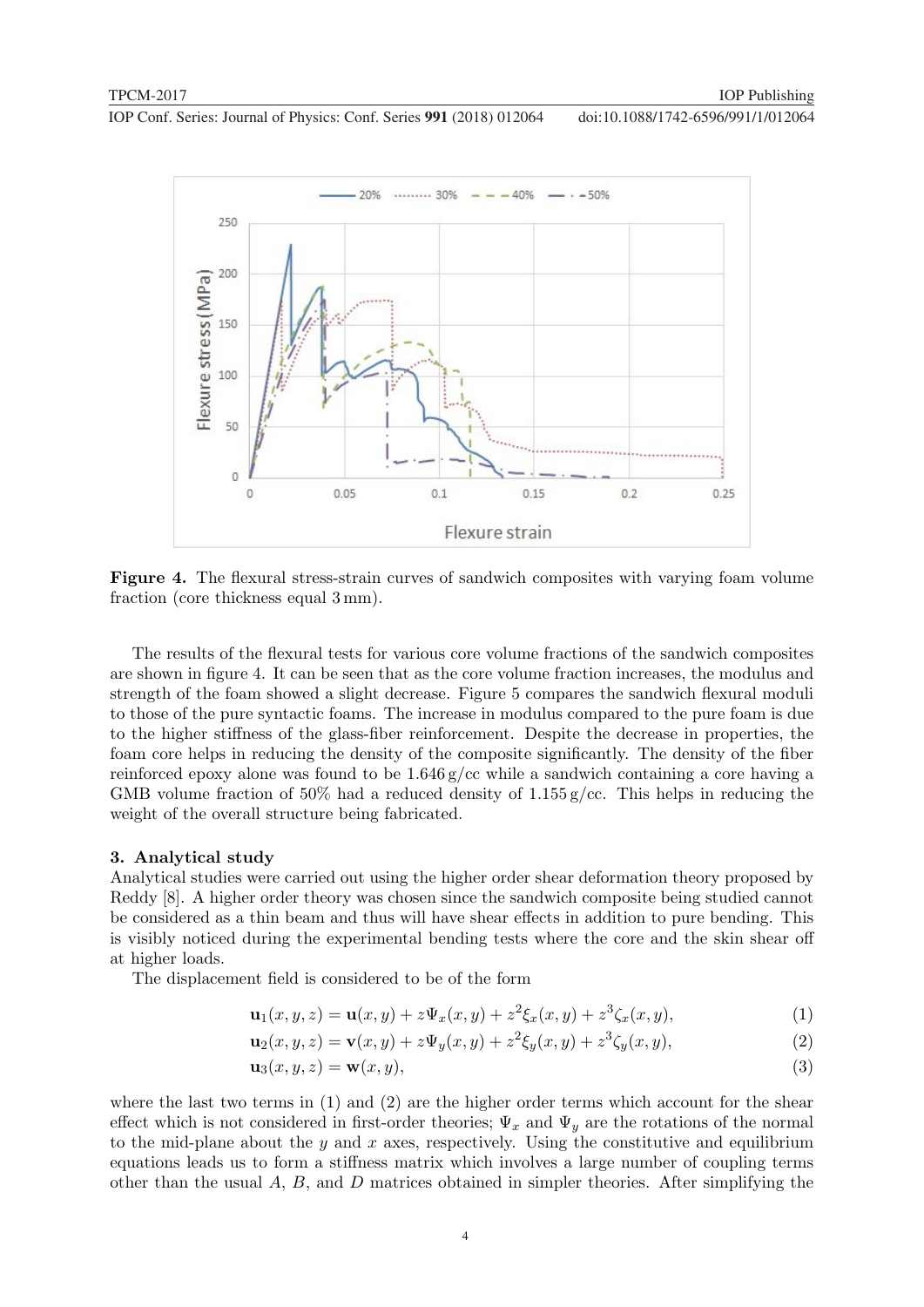

Figure 4. The flexural stress-strain curves of sandwich composites with varying foam volume fraction (core thickness equal 3 mm).

The results of the flexural tests for various core volume fractions of the sandwich composites are shown in figure 4. It can be seen that as the core volume fraction increases, the modulus and strength of the foam showed a slight decrease. Figure 5 compares the sandwich flexural moduli to those of the pure syntactic foams. The increase in modulus compared to the pure foam is due to the higher stiffness of the glass-fiber reinforcement. Despite the decrease in properties, the foam core helps in reducing the density of the composite significantly. The density of the fiber reinforced epoxy alone was found to be  $1.646 \frac{\mathrm{g}}{\mathrm{c}}$  while a sandwich containing a core having a GMB volume fraction of 50% had a reduced density of  $1.155$  g/cc. This helps in reducing the weight of the overall structure being fabricated.

#### 3. Analytical study

Analytical studies were carried out using the higher order shear deformation theory proposed by Reddy [8]. A higher order theory was chosen since the sandwich composite being studied cannot be considered as a thin beam and thus will have shear effects in addition to pure bending. This is visibly noticed during the experimental bending tests where the core and the skin shear off at higher loads.

The displacement field is considered to be of the form

$$
\mathbf{u}_1(x, y, z) = \mathbf{u}(x, y) + z \Psi_x(x, y) + z^2 \xi_x(x, y) + z^3 \zeta_x(x, y), \tag{1}
$$

$$
\mathbf{u}_2(x, y, z) = \mathbf{v}(x, y) + z\Psi_y(x, y) + z^2\xi_y(x, y) + z^3\zeta_y(x, y),
$$
\n(2)

$$
\mathbf{u}_3(x, y, z) = \mathbf{w}(x, y),\tag{3}
$$

where the last two terms in  $(1)$  and  $(2)$  are the higher order terms which account for the shear effect which is not considered in first-order theories;  $\Psi_x$  and  $\Psi_y$  are the rotations of the normal to the mid-plane about the  $y$  and  $x$  axes, respectively. Using the constitutive and equilibrium equations leads us to form a stiffness matrix which involves a large number of coupling terms other than the usual  $A, B$ , and  $D$  matrices obtained in simpler theories. After simplifying the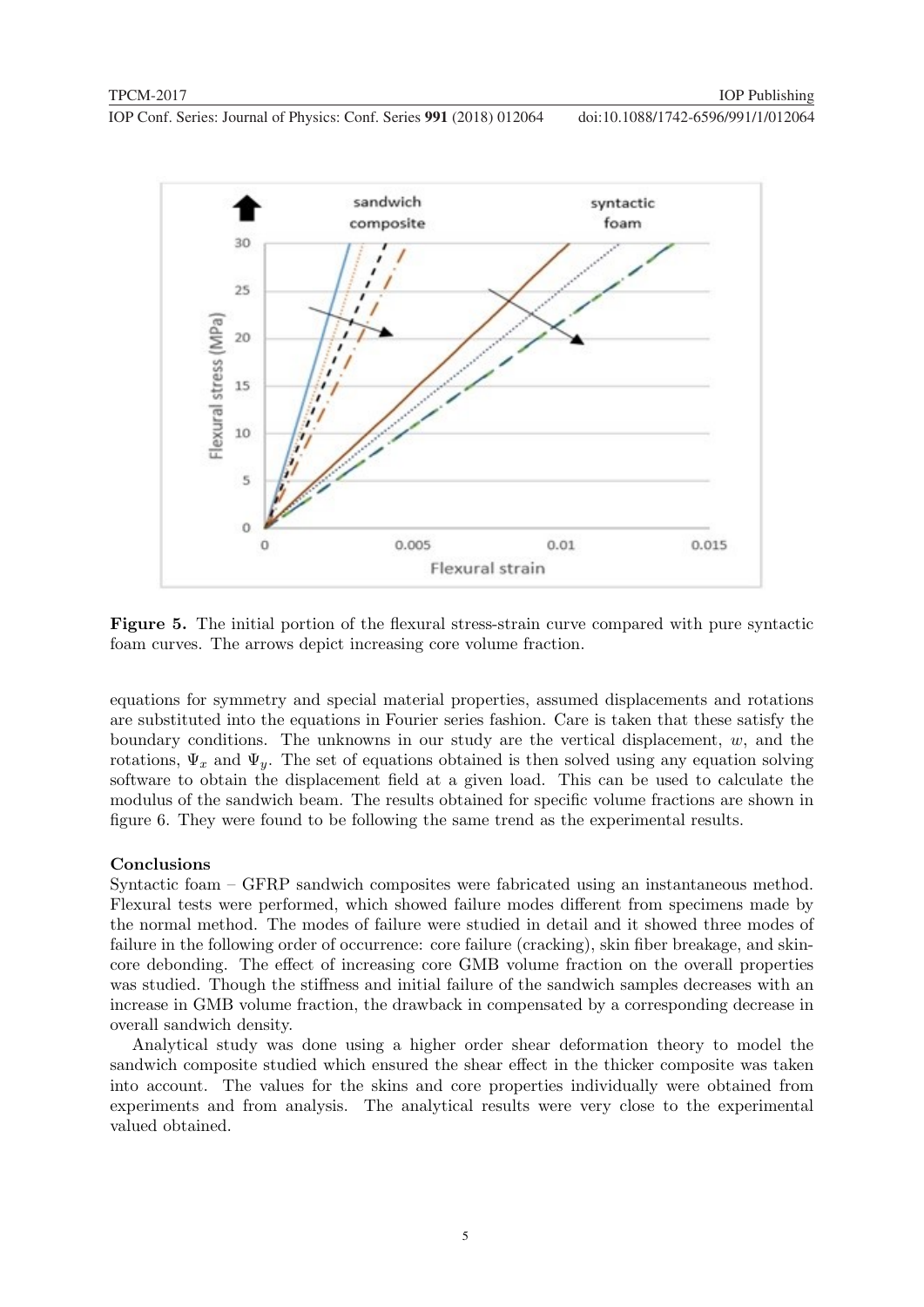

Figure 5. The initial portion of the flexural stress-strain curve compared with pure syntactic foam curves. The arrows depict increasing core volume fraction.

equations for symmetry and special material properties, assumed displacements and rotations are substituted into the equations in Fourier series fashion. Care is taken that these satisfy the boundary conditions. The unknowns in our study are the vertical displacement,  $w$ , and the rotations,  $\Psi_x$  and  $\Psi_y$ . The set of equations obtained is then solved using any equation solving software to obtain the displacement field at a given load. This can be used to calculate the modulus of the sandwich beam. The results obtained for specific volume fractions are shown in figure 6. They were found to be following the same trend as the experimental results.

#### Conclusions

Syntactic foam – GFRP sandwich composites were fabricated using an instantaneous method. Flexural tests were performed, which showed failure modes different from specimens made by the normal method. The modes of failure were studied in detail and it showed three modes of failure in the following order of occurrence: core failure (cracking), skin fiber breakage, and skincore debonding. The effect of increasing core GMB volume fraction on the overall properties was studied. Though the stiffness and initial failure of the sandwich samples decreases with an increase in GMB volume fraction, the drawback in compensated by a corresponding decrease in overall sandwich density.

Analytical study was done using a higher order shear deformation theory to model the sandwich composite studied which ensured the shear effect in the thicker composite was taken into account. The values for the skins and core properties individually were obtained from experiments and from analysis. The analytical results were very close to the experimental valued obtained.